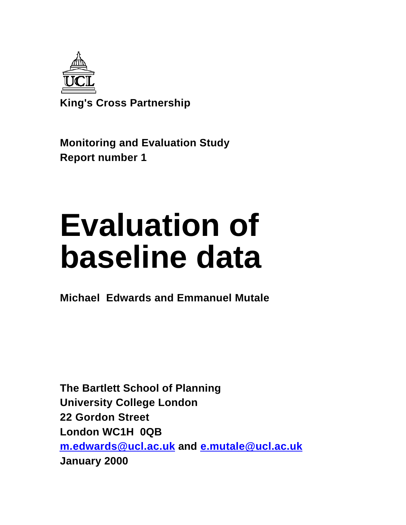

**King's Cross Partnership**

**Monitoring and Evaluation Study Report number 1**

# **Evaluation of baseline data**

**Michael Edwards and Emmanuel Mutale**

**The Bartlett School of Planning University College London 22 Gordon Street London WC1H 0QB m.edwards@ucl.ac.uk and e.mutale@ucl.ac.uk January 2000**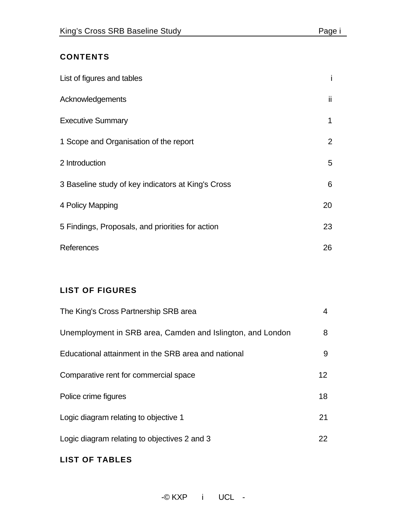# **CONTENTS**

| List of figures and tables                         |                |
|----------------------------------------------------|----------------|
| Acknowledgements                                   | ii.            |
| <b>Executive Summary</b>                           | 1              |
| 1 Scope and Organisation of the report             | $\overline{2}$ |
| 2 Introduction                                     | 5              |
| 3 Baseline study of key indicators at King's Cross | 6              |
| 4 Policy Mapping                                   | 20             |
| 5 Findings, Proposals, and priorities for action   | 23             |
| References                                         | 26             |

## **LIST OF FIGURES**

# **LIST OF TABLES**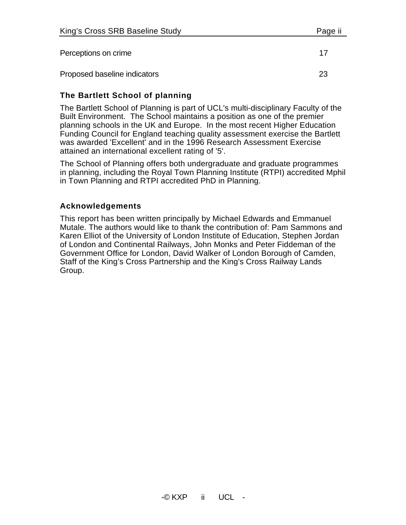## **The Bartlett School of planning**

The Bartlett School of Planning is part of UCL's multi-disciplinary Faculty of the Built Environment. The School maintains a position as one of the premier planning schools in the UK and Europe. In the most recent Higher Education Funding Council for England teaching quality assessment exercise the Bartlett was awarded 'Excellent' and in the 1996 Research Assessment Exercise attained an international excellent rating of '5'.

The School of Planning offers both undergraduate and graduate programmes in planning, including the Royal Town Planning Institute (RTPI) accredited Mphil in Town Planning and RTPI accredited PhD in Planning.

## **Acknowledgements**

This report has been written principally by Michael Edwards and Emmanuel Mutale. The authors would like to thank the contribution of: Pam Sammons and Karen Elliot of the University of London Institute of Education, Stephen Jordan of London and Continental Railways, John Monks and Peter Fiddeman of the Government Office for London, David Walker of London Borough of Camden, Staff of the King's Cross Partnership and the King's Cross Railway Lands Group.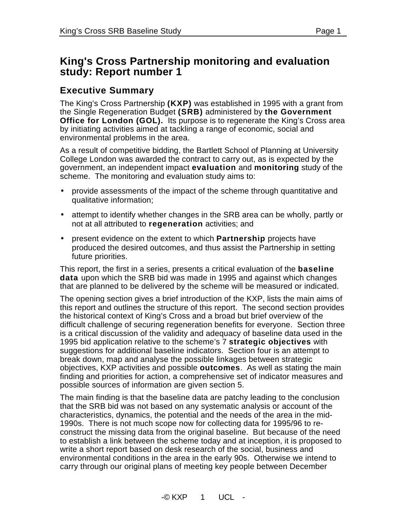# **King's Cross Partnership monitoring and evaluation study: Report number 1**

# **Executive Summary**

The King's Cross Partnership **(KXP)** was established in 1995 with a grant from the Single Regeneration Budget **(SRB)** administered by **the Government Office for London (GOL).** Its purpose is to regenerate the King's Cross area by initiating activities aimed at tackling a range of economic, social and environmental problems in the area.

As a result of competitive bidding, the Bartlett School of Planning at University College London was awarded the contract to carry out, as is expected by the government, an independent impact **evaluation** and **monitoring** study of the scheme. The monitoring and evaluation study aims to:

- provide assessments of the impact of the scheme through quantitative and qualitative information;
- attempt to identify whether changes in the SRB area can be wholly, partly or not at all attributed to **regeneration** activities; and
- present evidence on the extent to which **Partnership** projects have produced the desired outcomes, and thus assist the Partnership in setting future priorities.

This report, the first in a series, presents a critical evaluation of the **baseline data** upon which the SRB bid was made in 1995 and against which changes that are planned to be delivered by the scheme will be measured or indicated.

The opening section gives a brief introduction of the KXP, lists the main aims of this report and outlines the structure of this report. The second section provides the historical context of King's Cross and a broad but brief overview of the difficult challenge of securing regeneration benefits for everyone. Section three is a critical discussion of the validity and adequacy of baseline data used in the 1995 bid application relative to the scheme's 7 **strategic objectives** with suggestions for additional baseline indicators. Section four is an attempt to break down, map and analyse the possible linkages between strategic objectives, KXP activities and possible **outcomes**. As well as stating the main finding and priorities for action, a comprehensive set of indicator measures and possible sources of information are given section 5.

The main finding is that the baseline data are patchy leading to the conclusion that the SRB bid was not based on any systematic analysis or account of the characteristics, dynamics, the potential and the needs of the area in the mid-1990s. There is not much scope now for collecting data for 1995/96 to reconstruct the missing data from the original baseline. But because of the need to establish a link between the scheme today and at inception, it is proposed to write a short report based on desk research of the social, business and environmental conditions in the area in the early 90s. Otherwise we intend to carry through our original plans of meeting key people between December

 $-C$  KXP  $1$  UCI -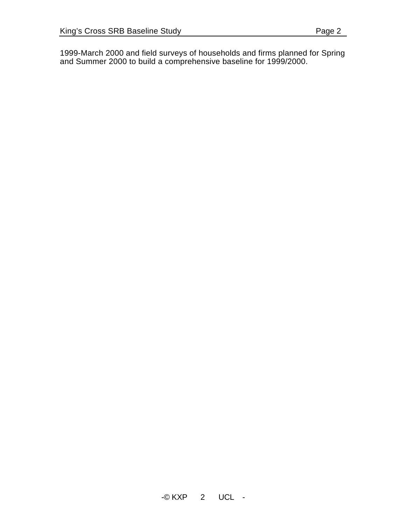1999-March 2000 and field surveys of households and firms planned for Spring and Summer 2000 to build a comprehensive baseline for 1999/2000.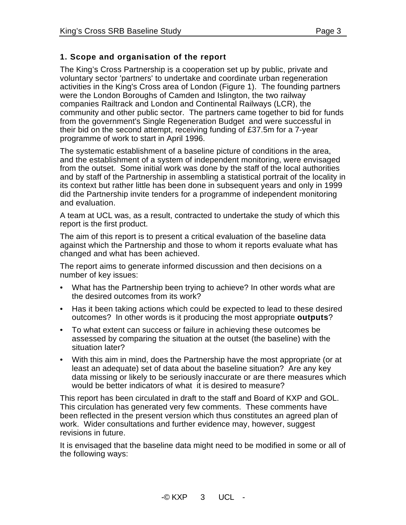### **1. Scope and organisation of the report**

The King's Cross Partnership is a cooperation set up by public, private and voluntary sector 'partners' to undertake and coordinate urban regeneration activities in the King's Cross area of London (Figure 1). The founding partners were the London Boroughs of Camden and Islington, the two railway companies Railtrack and London and Continental Railways (LCR), the community and other public sector. The partners came together to bid for funds from the government's Single Regeneration Budget and were successful in their bid on the second attempt, receiving funding of £37.5m for a 7-year programme of work to start in April 1996.

The systematic establishment of a baseline picture of conditions in the area, and the establishment of a system of independent monitoring, were envisaged from the outset. Some initial work was done by the staff of the local authorities and by staff of the Partnership in assembling a statistical portrait of the locality in its context but rather little has been done in subsequent years and only in 1999 did the Partnership invite tenders for a programme of independent monitoring and evaluation.

A team at UCL was, as a result, contracted to undertake the study of which this report is the first product.

The aim of this report is to present a critical evaluation of the baseline data against which the Partnership and those to whom it reports evaluate what has changed and what has been achieved.

The report aims to generate informed discussion and then decisions on a number of key issues:

- What has the Partnership been trying to achieve? In other words what are the desired outcomes from its work?
- Has it been taking actions which could be expected to lead to these desired outcomes? In other words is it producing the most appropriate **outputs**?
- To what extent can success or failure in achieving these outcomes be assessed by comparing the situation at the outset (the baseline) with the situation later?
- With this aim in mind, does the Partnership have the most appropriate (or at least an adequate) set of data about the baseline situation? Are any key data missing or likely to be seriously inaccurate or are there measures which would be better indicators of what it is desired to measure?

This report has been circulated in draft to the staff and Board of KXP and GOL. This circulation has generated very few comments. These comments have been reflected in the present version which thus constitutes an agreed plan of work. Wider consultations and further evidence may, however, suggest revisions in future.

It is envisaged that the baseline data might need to be modified in some or all of the following ways: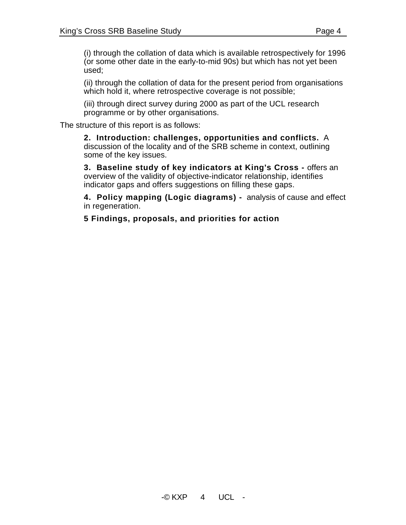(i) through the collation of data which is available retrospectively for 1996 (or some other date in the early-to-mid 90s) but which has not yet been used;

(ii) through the collation of data for the present period from organisations which hold it, where retrospective coverage is not possible;

(iii) through direct survey during 2000 as part of the UCL research programme or by other organisations.

The structure of this report is as follows:

**2. Introduction: challenges, opportunities and conflicts.** A discussion of the locality and of the SRB scheme in context, outlining some of the key issues.

**3. Baseline study of key indicators at King's Cross -** offers an overview of the validity of objective-indicator relationship, identifies indicator gaps and offers suggestions on filling these gaps.

**4. Policy mapping (Logic diagrams) -** analysis of cause and effect in regeneration.

**5 Findings, proposals, and priorities for action**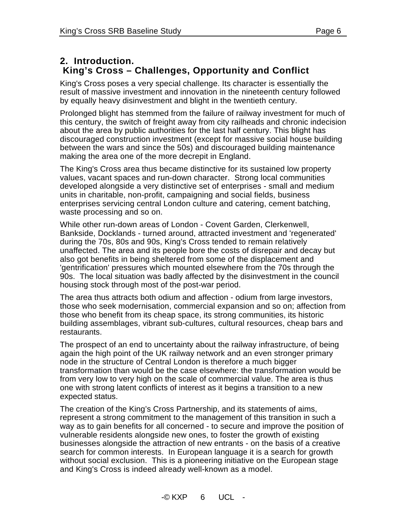# **King's Cross – Challenges, Opportunity and Conflict**

King's Cross poses a very special challenge. Its character is essentially the result of massive investment and innovation in the nineteenth century followed by equally heavy disinvestment and blight in the twentieth century.

Prolonged blight has stemmed from the failure of railway investment for much of this century, the switch of freight away from city railheads and chronic indecision about the area by public authorities for the last half century. This blight has discouraged construction investment (except for massive social house building between the wars and since the 50s) and discouraged building maintenance making the area one of the more decrepit in England.

The King's Cross area thus became distinctive for its sustained low property values, vacant spaces and run-down character. Strong local communities developed alongside a very distinctive set of enterprises - small and medium units in charitable, non-profit, campaigning and social fields, business enterprises servicing central London culture and catering, cement batching, waste processing and so on.

While other run-down areas of London - Covent Garden, Clerkenwell, Bankside, Docklands - turned around, attracted investment and 'regenerated' during the 70s, 80s and 90s, King's Cross tended to remain relatively unaffected. The area and its people bore the costs of disrepair and decay but also got benefits in being sheltered from some of the displacement and 'gentrification' pressures which mounted elsewhere from the 70s through the 90s. The local situation was badly affected by the disinvestment in the council housing stock through most of the post-war period.

The area thus attracts both odium and affection - odium from large investors, those who seek modernisation, commercial expansion and so on; affection from those who benefit from its cheap space, its strong communities, its historic building assemblages, vibrant sub-cultures, cultural resources, cheap bars and restaurants.

The prospect of an end to uncertainty about the railway infrastructure, of being again the high point of the UK railway network and an even stronger primary node in the structure of Central London is therefore a much bigger transformation than would be the case elsewhere: the transformation would be from very low to very high on the scale of commercial value. The area is thus one with strong latent conflicts of interest as it begins a transition to a new expected status.

The creation of the King's Cross Partnership, and its statements of aims, represent a strong commitment to the management of this transition in such a way as to gain benefits for all concerned - to secure and improve the position of vulnerable residents alongside new ones, to foster the growth of existing businesses alongside the attraction of new entrants - on the basis of a creative search for common interests. In European language it is a search for growth without social exclusion. This is a pioneering initiative on the European stage and King's Cross is indeed already well-known as a model.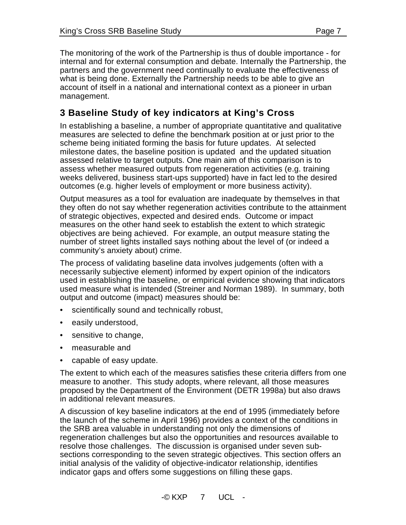The monitoring of the work of the Partnership is thus of double importance - for internal and for external consumption and debate. Internally the Partnership, the partners and the government need continually to evaluate the effectiveness of what is being done. Externally the Partnership needs to be able to give an account of itself in a national and international context as a pioneer in urban management.

# **3 Baseline Study of key indicators at King's Cross**

In establishing a baseline, a number of appropriate quantitative and qualitative measures are selected to define the benchmark position at or just prior to the scheme being initiated forming the basis for future updates. At selected milestone dates, the baseline position is updated and the updated situation assessed relative to target outputs. One main aim of this comparison is to assess whether measured outputs from regeneration activities (e.g. training weeks delivered, business start-ups supported) have in fact led to the desired outcomes (e.g. higher levels of employment or more business activity).

Output measures as a tool for evaluation are inadequate by themselves in that they often do not say whether regeneration activities contribute to the attainment of strategic objectives, expected and desired ends. Outcome or impact measures on the other hand seek to establish the extent to which strategic objectives are being achieved. For example, an output measure stating the number of street lights installed says nothing about the level of (or indeed a community's anxiety about) crime.

The process of validating baseline data involves judgements (often with a necessarily subjective element) informed by expert opinion of the indicators used in establishing the baseline, or empirical evidence showing that indicators used measure what is intended (Streiner and Norman 1989). In summary, both output and outcome (impact) measures should be:

- scientifically sound and technically robust,
- easily understood,
- sensitive to change,
- measurable and
- capable of easy update.

The extent to which each of the measures satisfies these criteria differs from one measure to another. This study adopts, where relevant, all those measures proposed by the Department of the Environment (DETR 1998a) but also draws in additional relevant measures.

A discussion of key baseline indicators at the end of 1995 (immediately before the launch of the scheme in April 1996) provides a context of the conditions in the SRB area valuable in understanding not only the dimensions of regeneration challenges but also the opportunities and resources available to resolve those challenges. The discussion is organised under seven subsections corresponding to the seven strategic objectives. This section offers an initial analysis of the validity of objective-indicator relationship, identifies indicator gaps and offers some suggestions on filling these gaps.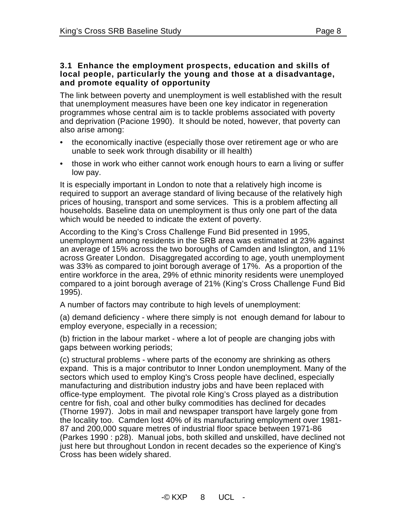#### **3.1 Enhance the employment prospects, education and skills of local people, particularly the young and those at a disadvantage, and promote equality of opportunity**

The link between poverty and unemployment is well established with the result that unemployment measures have been one key indicator in regeneration programmes whose central aim is to tackle problems associated with poverty and deprivation (Pacione 1990). It should be noted, however, that poverty can also arise among:

- the economically inactive (especially those over retirement age or who are unable to seek work through disability or ill health)
- those in work who either cannot work enough hours to earn a living or suffer low pay.

It is especially important in London to note that a relatively high income is required to support an average standard of living because of the relatively high prices of housing, transport and some services. This is a problem affecting all households. Baseline data on unemployment is thus only one part of the data which would be needed to indicate the extent of poverty.

According to the King's Cross Challenge Fund Bid presented in 1995, unemployment among residents in the SRB area was estimated at 23% against an average of 15% across the two boroughs of Camden and Islington, and 11% across Greater London. Disaggregated according to age, youth unemployment was 33% as compared to joint borough average of 17%. As a proportion of the entire workforce in the area, 29% of ethnic minority residents were unemployed compared to a joint borough average of 21% (King's Cross Challenge Fund Bid 1995).

A number of factors may contribute to high levels of unemployment:

(a) demand deficiency - where there simply is not enough demand for labour to employ everyone, especially in a recession;

(b) friction in the labour market - where a lot of people are changing jobs with gaps between working periods;

(c) structural problems - where parts of the economy are shrinking as others expand. This is a major contributor to Inner London unemployment. Many of the sectors which used to employ King's Cross people have declined, especially manufacturing and distribution industry jobs and have been replaced with office-type employment. The pivotal role King's Cross played as a distribution centre for fish, coal and other bulky commodities has declined for decades (Thorne 1997). Jobs in mail and newspaper transport have largely gone from the locality too. Camden lost 40% of its manufacturing employment over 1981- 87 and 200,000 square metres of industrial floor space between 1971-86 (Parkes 1990 : p28). Manual jobs, both skilled and unskilled, have declined not just here but throughout London in recent decades so the experience of King's Cross has been widely shared.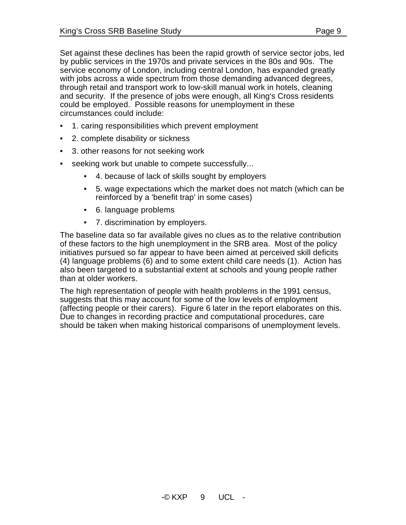Set against these declines has been the rapid growth of service sector jobs, led by public services in the 1970s and private services in the 80s and 90s. The service economy of London, including central London, has expanded greatly with jobs across a wide spectrum from those demanding advanced degrees, through retail and transport work to low-skill manual work in hotels, cleaning and security. If the presence of jobs were enough, all King's Cross residents could be employed. Possible reasons for unemployment in these circumstances could include:

- 1. caring responsibilities which prevent employment
- 2. complete disability or sickness
- 3. other reasons for not seeking work
- seeking work but unable to compete successfully...
	- 4. because of lack of skills sought by employers
	- 5. wage expectations which the market does not match (which can be reinforced by a 'benefit trap' in some cases)
	- 6. language problems
	- 7. discrimination by employers.

The baseline data so far available gives no clues as to the relative contribution of these factors to the high unemployment in the SRB area. Most of the policy initiatives pursued so far appear to have been aimed at perceived skill deficits (4) language problems (6) and to some extent child care needs (1). Action has also been targeted to a substantial extent at schools and young people rather than at older workers.

The high representation of people with health problems in the 1991 census, suggests that this may account for some of the low levels of employment (affecting people or their carers). Figure 6 later in the report elaborates on this. Due to changes in recording practice and computational procedures, care should be taken when making historical comparisons of unemployment levels.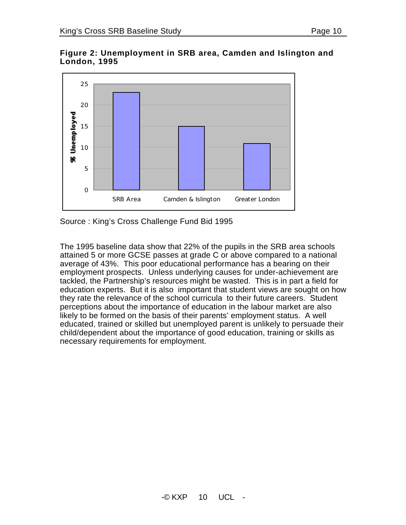



Source : King's Cross Challenge Fund Bid 1995

The 1995 baseline data show that 22% of the pupils in the SRB area schools attained 5 or more GCSE passes at grade C or above compared to a national average of 43%. This poor educational performance has a bearing on their employment prospects. Unless underlying causes for under-achievement are tackled, the Partnership's resources might be wasted. This is in part a field for education experts. But it is also important that student views are sought on how they rate the relevance of the school curricula to their future careers. Student perceptions about the importance of education in the labour market are also likely to be formed on the basis of their parents' employment status. A well educated, trained or skilled but unemployed parent is unlikely to persuade their child/dependent about the importance of good education, training or skills as necessary requirements for employment.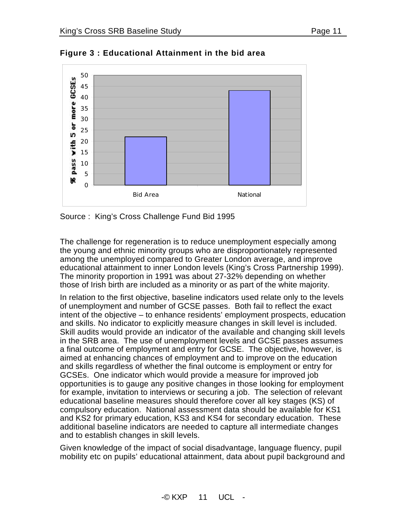



**Figure 3 : Educational Attainment in the bid area**

Source : King's Cross Challenge Fund Bid 1995

The challenge for regeneration is to reduce unemployment especially among the young and ethnic minority groups who are disproportionately represented among the unemployed compared to Greater London average, and improve educational attainment to inner London levels (King's Cross Partnership 1999). The minority proportion in 1991 was about 27-32% depending on whether those of Irish birth are included as a minority or as part of the white majority.

In relation to the first objective, baseline indicators used relate only to the levels of unemployment and number of GCSE passes. Both fail to reflect the exact intent of the objective – to enhance residents' employment prospects, education and skills. No indicator to explicitly measure changes in skill level is included. Skill audits would provide an indicator of the available and changing skill levels in the SRB area. The use of unemployment levels and GCSE passes assumes a final outcome of employment and entry for GCSE. The objective, however, is aimed at enhancing chances of employment and to improve on the education and skills regardless of whether the final outcome is employment or entry for GCSEs. One indicator which would provide a measure for improved job opportunities is to gauge any positive changes in those looking for employment for example, invitation to interviews or securing a job. The selection of relevant educational baseline measures should therefore cover all key stages (KS) of compulsory education. National assessment data should be available for KS1 and KS2 for primary education, KS3 and KS4 for secondary education. These additional baseline indicators are needed to capture all intermediate changes and to establish changes in skill levels.

Given knowledge of the impact of social disadvantage, language fluency, pupil mobility etc on pupils' educational attainment, data about pupil background and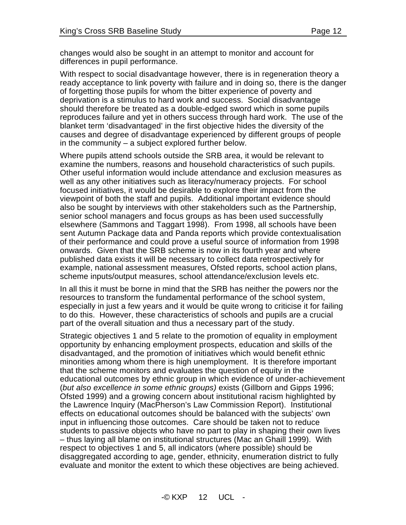changes would also be sought in an attempt to monitor and account for differences in pupil performance.

With respect to social disadvantage however, there is in regeneration theory a ready acceptance to link poverty with failure and in doing so, there is the danger of forgetting those pupils for whom the bitter experience of poverty and deprivation is a stimulus to hard work and success. Social disadvantage should therefore be treated as a double-edged sword which in some pupils reproduces failure and yet in others success through hard work. The use of the blanket term 'disadvantaged' in the first objective hides the diversity of the causes and degree of disadvantage experienced by different groups of people in the community – a subject explored further below.

Where pupils attend schools outside the SRB area, it would be relevant to examine the numbers, reasons and household characteristics of such pupils. Other useful information would include attendance and exclusion measures as well as any other initiatives such as literacy/numeracy projects. For school focused initiatives, it would be desirable to explore their impact from the viewpoint of both the staff and pupils. Additional important evidence should also be sought by interviews with other stakeholders such as the Partnership, senior school managers and focus groups as has been used successfully elsewhere (Sammons and Taggart 1998). From 1998, all schools have been sent Autumn Package data and Panda reports which provide contextualisation of their performance and could prove a useful source of information from 1998 onwards. Given that the SRB scheme is now in its fourth year and where published data exists it will be necessary to collect data retrospectively for example, national assessment measures, Ofsted reports, school action plans, scheme inputs/output measures, school attendance/exclusion levels etc.

In all this it must be borne in mind that the SRB has neither the powers nor the resources to transform the fundamental performance of the school system, especially in just a few years and it would be quite wrong to criticise it for failing to do this. However, these characteristics of schools and pupils are a crucial part of the overall situation and thus a necessary part of the study.

Strategic objectives 1 and 5 relate to the promotion of equality in employment opportunity by enhancing employment prospects, education and skills of the disadvantaged, and the promotion of initiatives which would benefit ethnic minorities among whom there is high unemployment. It is therefore important that the scheme monitors and evaluates the question of equity in the educational outcomes by ethnic group in which evidence of under-achievement (*but also excellence in some ethnic groups)* exists (Gillborn and Gipps 1996; Ofsted 1999) and a growing concern about institutional racism highlighted by the Lawrence Inquiry (MacPherson's Law Commission Report). Institutional effects on educational outcomes should be balanced with the subjects' own input in influencing those outcomes. Care should be taken not to reduce students to passive objects who have no part to play in shaping their own lives – thus laying all blame on institutional structures (Mac an Ghaill 1999). With respect to objectives 1 and 5, all indicators (where possible) should be disaggregated according to age, gender, ethnicity, enumeration district to fully evaluate and monitor the extent to which these objectives are being achieved.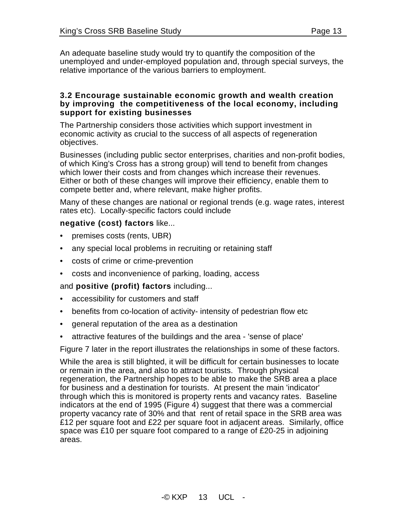An adequate baseline study would try to quantify the composition of the unemployed and under-employed population and, through special surveys, the relative importance of the various barriers to employment.

#### **3.2 Encourage sustainable economic growth and wealth creation by improving the competitiveness of the local economy, including support for existing businesses**

The Partnership considers those activities which support investment in economic activity as crucial to the success of all aspects of regeneration objectives.

Businesses (including public sector enterprises, charities and non-profit bodies, of which King's Cross has a strong group) will tend to benefit from changes which lower their costs and from changes which increase their revenues. Either or both of these changes will improve their efficiency, enable them to compete better and, where relevant, make higher profits.

Many of these changes are national or regional trends (e.g. wage rates, interest rates etc). Locally-specific factors could include

#### **negative (cost) factors** like...

- premises costs (rents, UBR)
- any special local problems in recruiting or retaining staff
- costs of crime or crime-prevention
- costs and inconvenience of parking, loading, access

and **positive (profit) factors** including...

- accessibility for customers and staff
- benefits from co-location of activity- intensity of pedestrian flow etc
- general reputation of the area as a destination
- attractive features of the buildings and the area 'sense of place'

Figure 7 later in the report illustrates the relationships in some of these factors.

While the area is still blighted, it will be difficult for certain businesses to locate or remain in the area, and also to attract tourists. Through physical regeneration, the Partnership hopes to be able to make the SRB area a place for business and a destination for tourists. At present the main 'indicator' through which this is monitored is property rents and vacancy rates. Baseline indicators at the end of 1995 (Figure 4) suggest that there was a commercial property vacancy rate of 30% and that rent of retail space in the SRB area was £12 per square foot and £22 per square foot in adjacent areas. Similarly, office space was £10 per square foot compared to a range of £20-25 in adjoining areas.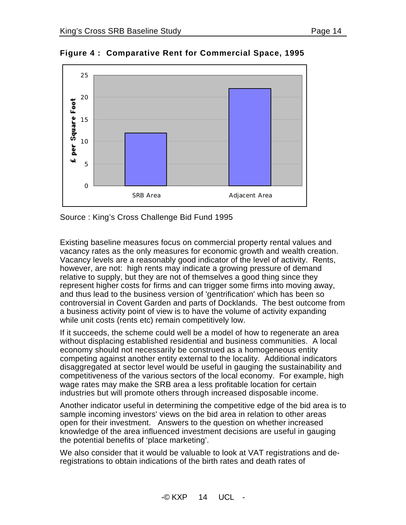

**Figure 4 : Comparative Rent for Commercial Space, 1995**

Source : King's Cross Challenge Bid Fund 1995

Existing baseline measures focus on commercial property rental values and vacancy rates as the only measures for economic growth and wealth creation. Vacancy levels are a reasonably good indicator of the level of activity. Rents, however, are not: high rents may indicate a growing pressure of demand relative to supply, but they are not of themselves a good thing since they represent higher costs for firms and can trigger some firms into moving away, and thus lead to the business version of 'gentrification' which has been so controversial in Covent Garden and parts of Docklands. The best outcome from a business activity point of view is to have the volume of activity expanding while unit costs (rents etc) remain competitively low.

If it succeeds, the scheme could well be a model of how to regenerate an area without displacing established residential and business communities. A local economy should not necessarily be construed as a homogeneous entity competing against another entity external to the locality. Additional indicators disaggregated at sector level would be useful in gauging the sustainability and competitiveness of the various sectors of the local economy. For example, high wage rates may make the SRB area a less profitable location for certain industries but will promote others through increased disposable income.

Another indicator useful in determining the competitive edge of the bid area is to sample incoming investors' views on the bid area in relation to other areas open for their investment. Answers to the question on whether increased knowledge of the area influenced investment decisions are useful in gauging the potential benefits of 'place marketing'.

We also consider that it would be valuable to look at VAT registrations and deregistrations to obtain indications of the birth rates and death rates of

 $-C$  KXP  $14$  UCI -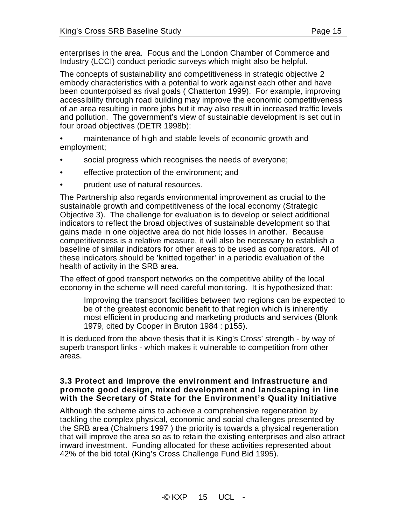enterprises in the area. Focus and the London Chamber of Commerce and Industry (LCCI) conduct periodic surveys which might also be helpful.

The concepts of sustainability and competitiveness in strategic objective 2 embody characteristics with a potential to work against each other and have been counterpoised as rival goals ( Chatterton 1999). For example, improving accessibility through road building may improve the economic competitiveness of an area resulting in more jobs but it may also result in increased traffic levels and pollution. The government's view of sustainable development is set out in four broad objectives (DETR 1998b):

- maintenance of high and stable levels of economic growth and employment;
- social progress which recognises the needs of everyone;
- effective protection of the environment; and
- prudent use of natural resources.

The Partnership also regards environmental improvement as crucial to the sustainable growth and competitiveness of the local economy (Strategic Objective 3). The challenge for evaluation is to develop or select additional indicators to reflect the broad objectives of sustainable development so that gains made in one objective area do not hide losses in another. Because competitiveness is a relative measure, it will also be necessary to establish a baseline of similar indicators for other areas to be used as comparators. All of these indicators should be 'knitted together' in a periodic evaluation of the health of activity in the SRB area.

The effect of good transport networks on the competitive ability of the local economy in the scheme will need careful monitoring. It is hypothesized that:

Improving the transport facilities between two regions can be expected to be of the greatest economic benefit to that region which is inherently most efficient in producing and marketing products and services (Blonk 1979, cited by Cooper in Bruton 1984 : p155).

It is deduced from the above thesis that it is King's Cross' strength - by way of superb transport links - which makes it vulnerable to competition from other areas.

#### **3.3 Protect and improve the environment and infrastructure and promote good design, mixed development and landscaping in line with the Secretary of State for the Environment's Quality Initiative**

Although the scheme aims to achieve a comprehensive regeneration by tackling the complex physical, economic and social challenges presented by the SRB area (Chalmers 1997 ) the priority is towards a physical regeneration that will improve the area so as to retain the existing enterprises and also attract inward investment. Funding allocated for these activities represented about 42% of the bid total (King's Cross Challenge Fund Bid 1995).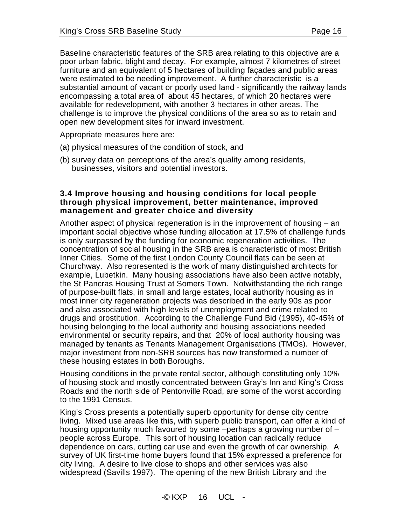Baseline characteristic features of the SRB area relating to this objective are a poor urban fabric, blight and decay. For example, almost 7 kilometres of street furniture and an equivalent of 5 hectares of building façades and public areas were estimated to be needing improvement. A further characteristic is a substantial amount of vacant or poorly used land - significantly the railway lands encompassing a total area of about 45 hectares, of which 20 hectares were available for redevelopment, with another 3 hectares in other areas. The challenge is to improve the physical conditions of the area so as to retain and open new development sites for inward investment.

Appropriate measures here are:

- (a) physical measures of the condition of stock, and
- (b) survey data on perceptions of the area's quality among residents, businesses, visitors and potential investors.

#### **3.4 Improve housing and housing conditions for local people through physical improvement, better maintenance, improved management and greater choice and diversity**

Another aspect of physical regeneration is in the improvement of housing – an important social objective whose funding allocation at 17.5% of challenge funds is only surpassed by the funding for economic regeneration activities. The concentration of social housing in the SRB area is characteristic of most British Inner Cities. Some of the first London County Council flats can be seen at Churchway. Also represented is the work of many distinguished architects for example, Lubetkin. Many housing associations have also been active notably, the St Pancras Housing Trust at Somers Town. Notwithstanding the rich range of purpose-built flats, in small and large estates, local authority housing as in most inner city regeneration projects was described in the early 90s as poor and also associated with high levels of unemployment and crime related to drugs and prostitution. According to the Challenge Fund Bid (1995), 40-45% of housing belonging to the local authority and housing associations needed environmental or security repairs, and that 20% of local authority housing was managed by tenants as Tenants Management Organisations (TMOs). However, major investment from non-SRB sources has now transformed a number of these housing estates in both Boroughs.

Housing conditions in the private rental sector, although constituting only 10% of housing stock and mostly concentrated between Gray's Inn and King's Cross Roads and the north side of Pentonville Road, are some of the worst according to the 1991 Census.

King's Cross presents a potentially superb opportunity for dense city centre living. Mixed use areas like this, with superb public transport, can offer a kind of housing opportunity much favoured by some –perhaps a growing number of – people across Europe. This sort of housing location can radically reduce dependence on cars, cutting car use and even the growth of car ownership. A survey of UK first-time home buyers found that 15% expressed a preference for city living. A desire to live close to shops and other services was also widespread (Savills 1997). The opening of the new British Library and the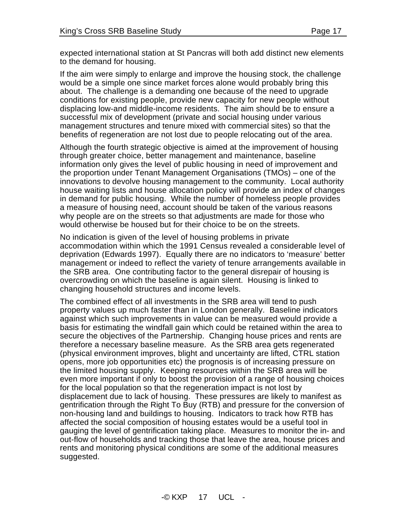expected international station at St Pancras will both add distinct new elements to the demand for housing.

If the aim were simply to enlarge and improve the housing stock, the challenge would be a simple one since market forces alone would probably bring this about. The challenge is a demanding one because of the need to upgrade conditions for existing people, provide new capacity for new people without displacing low-and middle-income residents. The aim should be to ensure a successful mix of development (private and social housing under various management structures and tenure mixed with commercial sites) so that the benefits of regeneration are not lost due to people relocating out of the area.

Although the fourth strategic objective is aimed at the improvement of housing through greater choice, better management and maintenance, baseline information only gives the level of public housing in need of improvement and the proportion under Tenant Management Organisations (TMOs) – one of the innovations to devolve housing management to the community. Local authority house waiting lists and house allocation policy will provide an index of changes in demand for public housing. While the number of homeless people provides a measure of housing need, account should be taken of the various reasons why people are on the streets so that adjustments are made for those who would otherwise be housed but for their choice to be on the streets.

No indication is given of the level of housing problems in private accommodation within which the 1991 Census revealed a considerable level of deprivation (Edwards 1997). Equally there are no indicators to 'measure' better management or indeed to reflect the variety of tenure arrangements available in the SRB area. One contributing factor to the general disrepair of housing is overcrowding on which the baseline is again silent. Housing is linked to changing household structures and income levels.

The combined effect of all investments in the SRB area will tend to push property values up much faster than in London generally. Baseline indicators against which such improvements in value can be measured would provide a basis for estimating the windfall gain which could be retained within the area to secure the objectives of the Partnership. Changing house prices and rents are therefore a necessary baseline measure. As the SRB area gets regenerated (physical environment improves, blight and uncertainty are lifted, CTRL station opens, more job opportunities etc) the prognosis is of increasing pressure on the limited housing supply. Keeping resources within the SRB area will be even more important if only to boost the provision of a range of housing choices for the local population so that the regeneration impact is not lost by displacement due to lack of housing. These pressures are likely to manifest as gentrification through the Right To Buy (RTB) and pressure for the conversion of non-housing land and buildings to housing. Indicators to track how RTB has affected the social composition of housing estates would be a useful tool in gauging the level of gentrification taking place. Measures to monitor the in- and out-flow of households and tracking those that leave the area, house prices and rents and monitoring physical conditions are some of the additional measures suggested.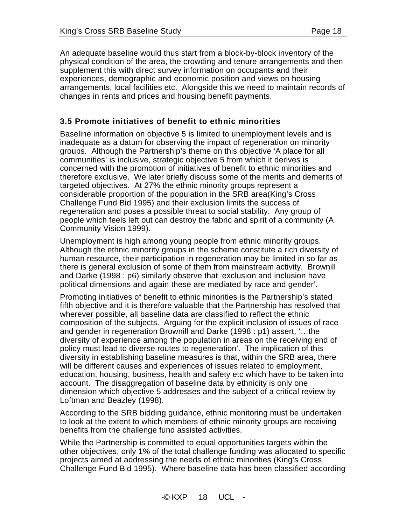An adequate baseline would thus start from a block-by-block inventory of the physical condition of the area, the crowding and tenure arrangements and then supplement this with direct survey information on occupants and their experiences, demographic and economic position and views on housing arrangements, local facilities etc. Alongside this we need to maintain records of changes in rents and prices and housing benefit payments.

#### **3.5 Promote initiatives of benefit to ethnic minorities**

Baseline information on objective 5 is limited to unemployment levels and is inadequate as a datum for observing the impact of regeneration on minority groups. Although the Partnership's theme on this objective 'A place for all communities' is inclusive, strategic objective 5 from which it derives is concerned with the promotion of initiatives of benefit to ethnic minorities and therefore exclusive. We later briefly discuss some of the merits and demerits of targeted objectives. At 27% the ethnic minority groups represent a considerable proportion of the population in the SRB area(King's Cross Challenge Fund Bid 1995) and their exclusion limits the success of regeneration and poses a possible threat to social stability. Any group of people which feels left out can destroy the fabric and spirit of a community (A Community Vision 1999).

Unemployment is high among young people from ethnic minority groups. Although the ethnic minority groups in the scheme constitute a rich diversity of human resource, their participation in regeneration may be limited in so far as there is general exclusion of some of them from mainstream activity. Brownill and Darke (1998 : p6) similarly observe that 'exclusion and inclusion have political dimensions and again these are mediated by race and gender'.

Promoting initiatives of benefit to ethnic minorities is the Partnership's stated fifth objective and it is therefore valuable that the Partnership has resolved that wherever possible, all baseline data are classified to reflect the ethnic composition of the subjects. Arguing for the explicit inclusion of issues of race and gender in regeneration Brownill and Darke (1998 : p1) assert, '…the diversity of experience among the population in areas on the receiving end of policy must lead to diverse routes to regeneration'. The implication of this diversity in establishing baseline measures is that, within the SRB area, there will be different causes and experiences of issues related to employment, education, housing, business, health and safety etc which have to be taken into account. The disaggregation of baseline data by ethnicity is only one dimension which objective 5 addresses and the subject of a critical review by Loftman and Beazley (1998).

According to the SRB bidding guidance, ethnic monitoring must be undertaken to look at the extent to which members of ethnic minority groups are receiving benefits from the challenge fund assisted activities.

While the Partnership is committed to equal opportunities targets within the other objectives, only 1% of the total challenge funding was allocated to specific projects aimed at addressing the needs of ethnic minorities (King's Cross Challenge Fund Bid 1995). Where baseline data has been classified according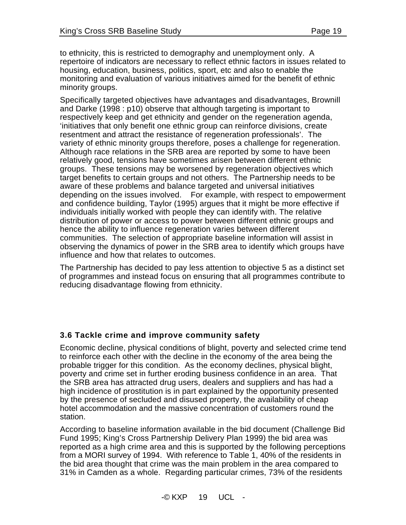to ethnicity, this is restricted to demography and unemployment only. A repertoire of indicators are necessary to reflect ethnic factors in issues related to housing, education, business, politics, sport, etc and also to enable the monitoring and evaluation of various initiatives aimed for the benefit of ethnic minority groups.

Specifically targeted objectives have advantages and disadvantages, Brownill and Darke (1998 : p10) observe that although targeting is important to respectively keep and get ethnicity and gender on the regeneration agenda, 'initiatives that only benefit one ethnic group can reinforce divisions, create resentment and attract the resistance of regeneration professionals'. The variety of ethnic minority groups therefore, poses a challenge for regeneration. Although race relations in the SRB area are reported by some to have been relatively good, tensions have sometimes arisen between different ethnic groups. These tensions may be worsened by regeneration objectives which target benefits to certain groups and not others. The Partnership needs to be aware of these problems and balance targeted and universal initiatives depending on the issues involved. For example, with respect to empowerment and confidence building, Taylor (1995) argues that it might be more effective if individuals initially worked with people they can identify with. The relative distribution of power or access to power between different ethnic groups and hence the ability to influence regeneration varies between different communities. The selection of appropriate baseline information will assist in observing the dynamics of power in the SRB area to identify which groups have influence and how that relates to outcomes.

The Partnership has decided to pay less attention to objective 5 as a distinct set of programmes and instead focus on ensuring that all programmes contribute to reducing disadvantage flowing from ethnicity.

#### **3.6 Tackle crime and improve community safety**

Economic decline, physical conditions of blight, poverty and selected crime tend to reinforce each other with the decline in the economy of the area being the probable trigger for this condition. As the economy declines, physical blight, poverty and crime set in further eroding business confidence in an area. That the SRB area has attracted drug users, dealers and suppliers and has had a high incidence of prostitution is in part explained by the opportunity presented by the presence of secluded and disused property, the availability of cheap hotel accommodation and the massive concentration of customers round the station.

According to baseline information available in the bid document (Challenge Bid Fund 1995; King's Cross Partnership Delivery Plan 1999) the bid area was reported as a high crime area and this is supported by the following perceptions from a MORI survey of 1994. With reference to Table 1, 40% of the residents in the bid area thought that crime was the main problem in the area compared to 31% in Camden as a whole. Regarding particular crimes, 73% of the residents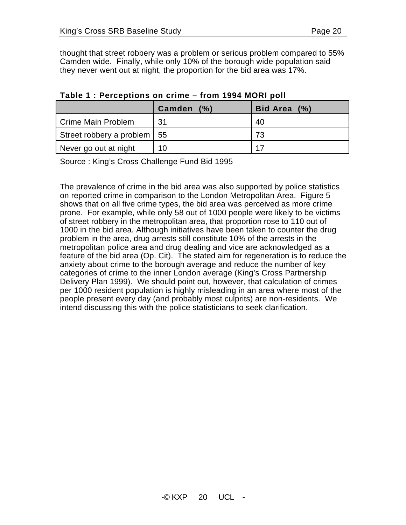thought that street robbery was a problem or serious problem compared to 55% Camden wide. Finally, while only 10% of the borough wide population said they never went out at night, the proportion for the bid area was 17%.

|                               | (% )<br>Camden | Bid Area (%) |
|-------------------------------|----------------|--------------|
| Crime Main Problem            | 31             | -40          |
| Street robbery a problem   55 |                | 73           |
| Never go out at night         | 10             | 17           |

#### **Table 1 : Perceptions on crime – from 1994 MORI poll**

Source : King's Cross Challenge Fund Bid 1995

The prevalence of crime in the bid area was also supported by police statistics on reported crime in comparison to the London Metropolitan Area. Figure 5 shows that on all five crime types, the bid area was perceived as more crime prone. For example, while only 58 out of 1000 people were likely to be victims of street robbery in the metropolitan area, that proportion rose to 110 out of 1000 in the bid area. Although initiatives have been taken to counter the drug problem in the area, drug arrests still constitute 10% of the arrests in the metropolitan police area and drug dealing and vice are acknowledged as a feature of the bid area (Op. Cit). The stated aim for regeneration is to reduce the anxiety about crime to the borough average and reduce the number of key categories of crime to the inner London average (King's Cross Partnership Delivery Plan 1999). We should point out, however, that calculation of crimes per 1000 resident population is highly misleading in an area where most of the people present every day (and probably most culprits) are non-residents. We intend discussing this with the police statisticians to seek clarification.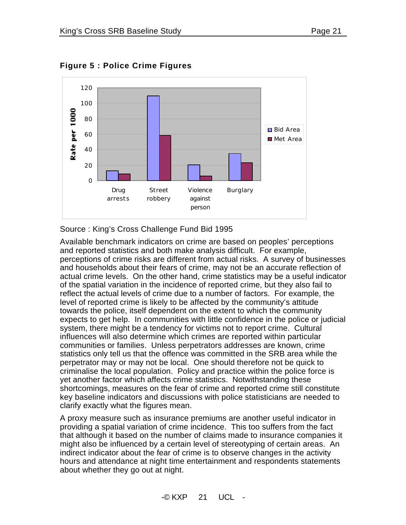

**Figure 5 : Police Crime Figures**

Source : King's Cross Challenge Fund Bid 1995

Available benchmark indicators on crime are based on peoples' perceptions and reported statistics and both make analysis difficult. For example, perceptions of crime risks are different from actual risks. A survey of businesses and households about their fears of crime, may not be an accurate reflection of actual crime levels. On the other hand, crime statistics may be a useful indicator of the spatial variation in the incidence of reported crime, but they also fail to reflect the actual levels of crime due to a number of factors. For example, the level of reported crime is likely to be affected by the community's attitude towards the police, itself dependent on the extent to which the community expects to get help. In communities with little confidence in the police or judicial system, there might be a tendency for victims not to report crime. Cultural influences will also determine which crimes are reported within particular communities or families. Unless perpetrators addresses are known, crime statistics only tell us that the offence was committed in the SRB area while the perpetrator may or may not be local. One should therefore not be quick to criminalise the local population. Policy and practice within the police force is yet another factor which affects crime statistics. Notwithstanding these shortcomings, measures on the fear of crime and reported crime still constitute key baseline indicators and discussions with police statisticians are needed to clarify exactly what the figures mean.

A proxy measure such as insurance premiums are another useful indicator in providing a spatial variation of crime incidence. This too suffers from the fact that although it based on the number of claims made to insurance companies it might also be influenced by a certain level of stereotyping of certain areas. An indirect indicator about the fear of crime is to observe changes in the activity hours and attendance at night time entertainment and respondents statements about whether they go out at night.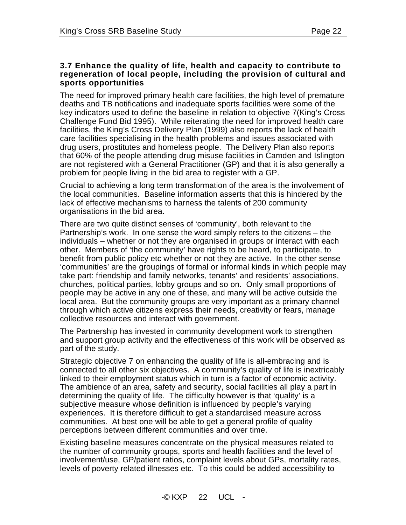#### **3.7 Enhance the quality of life, health and capacity to contribute to regeneration of local people, including the provision of cultural and sports opportunities**

The need for improved primary health care facilities, the high level of premature deaths and TB notifications and inadequate sports facilities were some of the key indicators used to define the baseline in relation to objective 7(King's Cross Challenge Fund Bid 1995). While reiterating the need for improved health care facilities, the King's Cross Delivery Plan (1999) also reports the lack of health care facilities specialising in the health problems and issues associated with drug users, prostitutes and homeless people. The Delivery Plan also reports that 60% of the people attending drug misuse facilities in Camden and Islington are not registered with a General Practitioner (GP) and that it is also generally a problem for people living in the bid area to register with a GP.

Crucial to achieving a long term transformation of the area is the involvement of the local communities. Baseline information asserts that this is hindered by the lack of effective mechanisms to harness the talents of 200 community organisations in the bid area.

There are two quite distinct senses of 'community', both relevant to the Partnership's work. In one sense the word simply refers to the citizens – the individuals – whether or not they are organised in groups or interact with each other. Members of 'the community' have rights to be heard, to participate, to benefit from public policy etc whether or not they are active. In the other sense 'communities' are the groupings of formal or informal kinds in which people may take part: friendship and family networks, tenants' and residents' associations, churches, political parties, lobby groups and so on. Only small proportions of people may be active in any one of these, and many will be active outside the local area. But the community groups are very important as a primary channel through which active citizens express their needs, creativity or fears, manage collective resources and interact with government.

The Partnership has invested in community development work to strengthen and support group activity and the effectiveness of this work will be observed as part of the study.

Strategic objective 7 on enhancing the quality of life is all-embracing and is connected to all other six objectives. A community's quality of life is inextricably linked to their employment status which in turn is a factor of economic activity. The ambience of an area, safety and security, social facilities all play a part in determining the quality of life. The difficulty however is that 'quality' is a subjective measure whose definition is influenced by people's varying experiences. It is therefore difficult to get a standardised measure across communities. At best one will be able to get a general profile of quality perceptions between different communities and over time.

Existing baseline measures concentrate on the physical measures related to the number of community groups, sports and health facilities and the level of involvement/use, GP/patient ratios, complaint levels about GPs, mortality rates, levels of poverty related illnesses etc. To this could be added accessibility to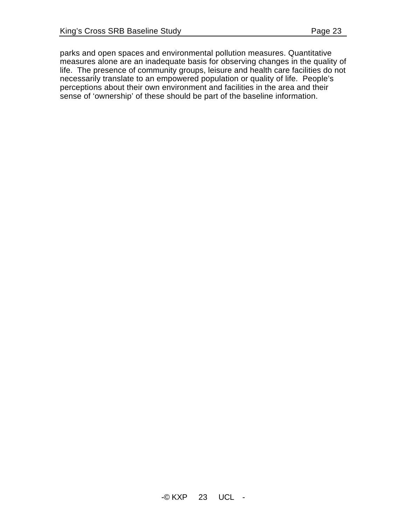parks and open spaces and environmental pollution measures. Quantitative measures alone are an inadequate basis for observing changes in the quality of life. The presence of community groups, leisure and health care facilities do not necessarily translate to an empowered population or quality of life. People's

perceptions about their own environment and facilities in the area and their sense of 'ownership' of these should be part of the baseline information.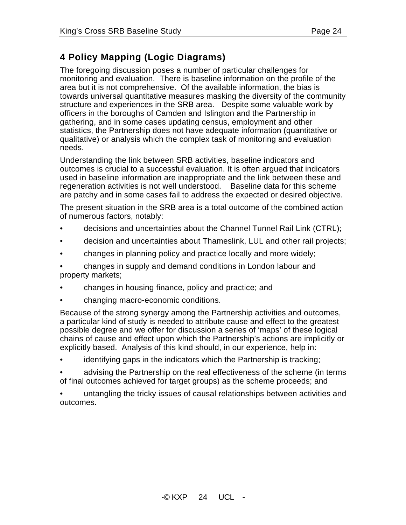# **4 Policy Mapping (Logic Diagrams)**

The foregoing discussion poses a number of particular challenges for monitoring and evaluation. There is baseline information on the profile of the area but it is not comprehensive. Of the available information, the bias is towards universal quantitative measures masking the diversity of the community structure and experiences in the SRB area. Despite some valuable work by officers in the boroughs of Camden and Islington and the Partnership in gathering, and in some cases updating census, employment and other statistics, the Partnership does not have adequate information (quantitative or qualitative) or analysis which the complex task of monitoring and evaluation needs.

Understanding the link between SRB activities, baseline indicators and outcomes is crucial to a successful evaluation. It is often argued that indicators used in baseline information are inappropriate and the link between these and regeneration activities is not well understood. Baseline data for this scheme are patchy and in some cases fail to address the expected or desired objective.

The present situation in the SRB area is a total outcome of the combined action of numerous factors, notably:

- decisions and uncertainties about the Channel Tunnel Rail Link (CTRL);
- decision and uncertainties about Thameslink, LUL and other rail projects;
- changes in planning policy and practice locally and more widely;

• changes in supply and demand conditions in London labour and property markets;

- changes in housing finance, policy and practice; and
- changing macro-economic conditions.

Because of the strong synergy among the Partnership activities and outcomes, a particular kind of study is needed to attribute cause and effect to the greatest possible degree and we offer for discussion a series of 'maps' of these logical chains of cause and effect upon which the Partnership's actions are implicitly or explicitly based. Analysis of this kind should, in our experience, help in:

identifying gaps in the indicators which the Partnership is tracking;

• advising the Partnership on the real effectiveness of the scheme (in terms of final outcomes achieved for target groups) as the scheme proceeds; and

• untangling the tricky issues of causal relationships between activities and outcomes.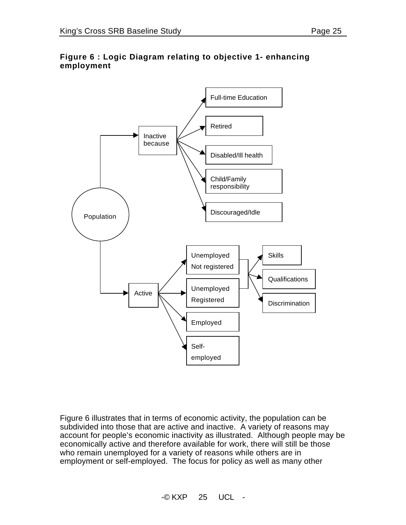## **Figure 6 : Logic Diagram relating to objective 1- enhancing employment**



Figure 6 illustrates that in terms of economic activity, the population can be subdivided into those that are active and inactive. A variety of reasons may account for people's economic inactivity as illustrated. Although people may be economically active and therefore available for work, there will still be those who remain unemployed for a variety of reasons while others are in employment or self-employed. The focus for policy as well as many other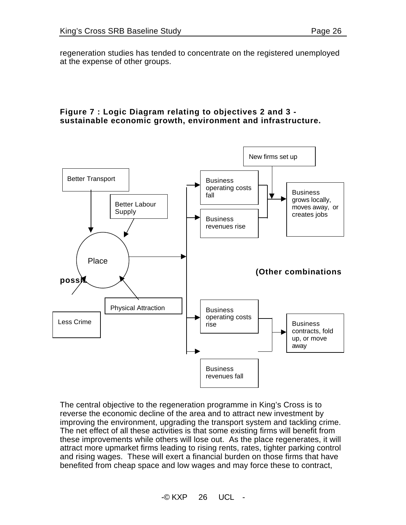regeneration studies has tended to concentrate on the registered unemployed at the expense of other groups.

#### **Figure 7 : Logic Diagram relating to objectives 2 and 3 sustainable economic growth, environment and infrastructure.**



The central objective to the regeneration programme in King's Cross is to reverse the economic decline of the area and to attract new investment by improving the environment, upgrading the transport system and tackling crime. The net effect of all these activities is that some existing firms will benefit from these improvements while others will lose out. As the place regenerates, it will attract more upmarket firms leading to rising rents, rates, tighter parking control and rising wages. These will exert a financial burden on those firms that have benefited from cheap space and low wages and may force these to contract,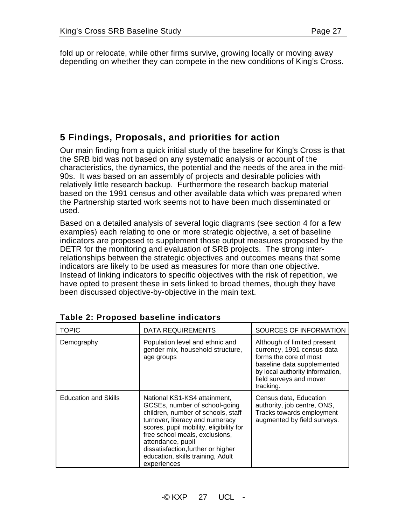fold up or relocate, while other firms survive, growing locally or moving away depending on whether they can compete in the new conditions of King's Cross.

# **5 Findings, Proposals, and priorities for action**

Our main finding from a quick initial study of the baseline for King's Cross is that the SRB bid was not based on any systematic analysis or account of the characteristics, the dynamics, the potential and the needs of the area in the mid-90s. It was based on an assembly of projects and desirable policies with relatively little research backup. Furthermore the research backup material based on the 1991 census and other available data which was prepared when the Partnership started work seems not to have been much disseminated or used.

Based on a detailed analysis of several logic diagrams (see section 4 for a few examples) each relating to one or more strategic objective, a set of baseline indicators are proposed to supplement those output measures proposed by the DETR for the monitoring and evaluation of SRB projects. The strong interrelationships between the strategic objectives and outcomes means that some indicators are likely to be used as measures for more than one objective. Instead of linking indicators to specific objectives with the risk of repetition, we have opted to present these in sets linked to broad themes, though they have been discussed objective-by-objective in the main text.

| <b>TOPIC</b>                | DATA REQUIREMENTS                                                                                                                                                                                                                                                                                                                  | SOURCES OF INFORMATION                                                                                                                                                                       |
|-----------------------------|------------------------------------------------------------------------------------------------------------------------------------------------------------------------------------------------------------------------------------------------------------------------------------------------------------------------------------|----------------------------------------------------------------------------------------------------------------------------------------------------------------------------------------------|
| Demography                  | Population level and ethnic and<br>gender mix, household structure,<br>age groups                                                                                                                                                                                                                                                  | Although of limited present<br>currency, 1991 census data<br>forms the core of most<br>baseline data supplemented<br>by local authority information,<br>field surveys and mover<br>tracking. |
| <b>Education and Skills</b> | National KS1-KS4 attainment,<br>GCSEs, number of school-going<br>children, number of schools, staff<br>turnover, literacy and numeracy<br>scores, pupil mobility, eligibility for<br>free school meals, exclusions,<br>attendance, pupil<br>dissatisfaction, further or higher<br>education, skills training, Adult<br>experiences | Census data, Education<br>authority, job centre, ONS,<br>Tracks towards employment<br>augmented by field surveys.                                                                            |

|  |  |  | Table 2: Proposed baseline indicators |
|--|--|--|---------------------------------------|
|--|--|--|---------------------------------------|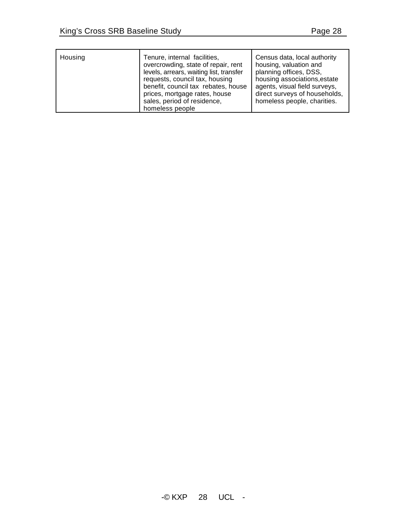| Housing | Tenure, internal facilities,<br>overcrowding, state of repair, rent<br>levels, arrears, waiting list, transfer<br>requests, council tax, housing<br>benefit, council tax rebates, house<br>prices, mortgage rates, house<br>sales, period of residence,<br>homeless people | Census data, local authority<br>housing, valuation and<br>planning offices, DSS,<br>housing associations, estate<br>agents, visual field surveys,<br>direct surveys of households,<br>homeless people, charities. |
|---------|----------------------------------------------------------------------------------------------------------------------------------------------------------------------------------------------------------------------------------------------------------------------------|-------------------------------------------------------------------------------------------------------------------------------------------------------------------------------------------------------------------|
|---------|----------------------------------------------------------------------------------------------------------------------------------------------------------------------------------------------------------------------------------------------------------------------------|-------------------------------------------------------------------------------------------------------------------------------------------------------------------------------------------------------------------|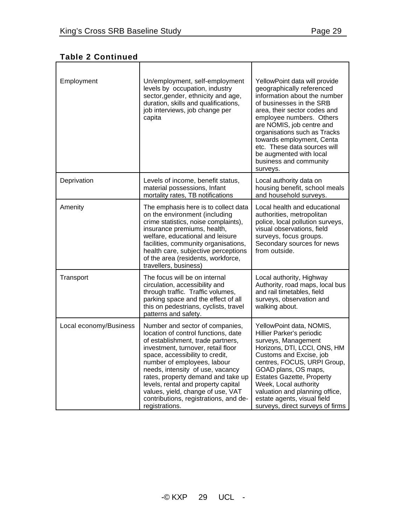| Employment             | Un/employment, self-employment<br>levels by occupation, industry<br>sector, gender, ethnicity and age,<br>duration, skills and qualifications,<br>job interviews, job change per<br>capita                                                                                                                                                                                                                                           | YellowPoint data will provide<br>geographically referenced<br>information about the number<br>of businesses in the SRB<br>area, their sector codes and<br>employee numbers. Others<br>are NOMIS, job centre and<br>organisations such as Tracks<br>towards employment, Centa<br>etc. These data sources will<br>be augmented with local<br>business and community<br>surveys. |
|------------------------|--------------------------------------------------------------------------------------------------------------------------------------------------------------------------------------------------------------------------------------------------------------------------------------------------------------------------------------------------------------------------------------------------------------------------------------|-------------------------------------------------------------------------------------------------------------------------------------------------------------------------------------------------------------------------------------------------------------------------------------------------------------------------------------------------------------------------------|
| Deprivation            | Levels of income, benefit status,<br>material possessions, Infant<br>mortality rates, TB notifications                                                                                                                                                                                                                                                                                                                               | Local authority data on<br>housing benefit, school meals<br>and household surveys.                                                                                                                                                                                                                                                                                            |
| Amenity                | The emphasis here is to collect data<br>on the environment (including<br>crime statistics, noise complaints),<br>insurance premiums, health,<br>welfare, educational and leisure<br>facilities, community organisations,<br>health care, subjective perceptions<br>of the area (residents, workforce,<br>travellers, business)                                                                                                       | Local health and educational<br>authorities, metropolitan<br>police, local pollution surveys,<br>visual observations, field<br>surveys, focus groups.<br>Secondary sources for news<br>from outside.                                                                                                                                                                          |
| Transport              | The focus will be on internal<br>circulation, accessibility and<br>through traffic. Traffic volumes,<br>parking space and the effect of all<br>this on pedestrians, cyclists, travel<br>patterns and safety.                                                                                                                                                                                                                         | Local authority, Highway<br>Authority, road maps, local bus<br>and rail timetables, field<br>surveys, observation and<br>walking about.                                                                                                                                                                                                                                       |
| Local economy/Business | Number and sector of companies,<br>location of control functions, date<br>of establishment, trade partners,<br>investment, turnover, retail floor<br>space, accessibility to credit,<br>number of employees, labour<br>needs, intensity of use, vacancy<br>rates, property demand and take up<br>levels, rental and property capital<br>values, yield, change of use, VAT<br>contributions, registrations, and de-<br>registrations. | YellowPoint data, NOMIS,<br>Hillier Parker's periodic<br>surveys, Management<br>Horizons, DTI, LCCI, ONS, HM<br>Customs and Excise, job<br>centres, FOCUS, URPI Group,<br>GOAD plans, OS maps,<br><b>Estates Gazette, Property</b><br>Week, Local authority<br>valuation and planning office,<br>estate agents, visual field<br>surveys, direct surveys of firms              |

## **Table 2 Continued**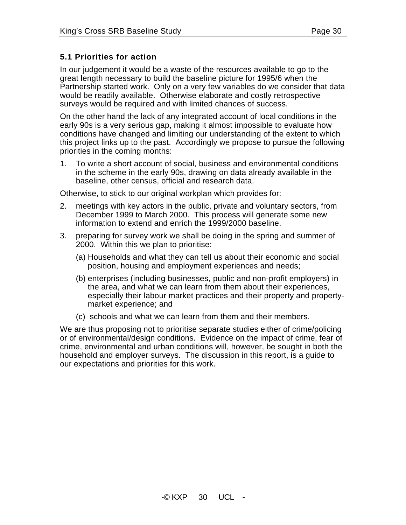## **5.1 Priorities for action**

In our judgement it would be a waste of the resources available to go to the great length necessary to build the baseline picture for 1995/6 when the Partnership started work. Only on a very few variables do we consider that data would be readily available. Otherwise elaborate and costly retrospective surveys would be required and with limited chances of success.

On the other hand the lack of any integrated account of local conditions in the early 90s is a very serious gap, making it almost impossible to evaluate how conditions have changed and limiting our understanding of the extent to which this project links up to the past. Accordingly we propose to pursue the following priorities in the coming months:

1. To write a short account of social, business and environmental conditions in the scheme in the early 90s, drawing on data already available in the baseline, other census, official and research data.

Otherwise, to stick to our original workplan which provides for:

- 2. meetings with key actors in the public, private and voluntary sectors, from December 1999 to March 2000. This process will generate some new information to extend and enrich the 1999/2000 baseline.
- 3. preparing for survey work we shall be doing in the spring and summer of 2000. Within this we plan to prioritise:
	- (a) Households and what they can tell us about their economic and social position, housing and employment experiences and needs;
	- (b) enterprises (including businesses, public and non-profit employers) in the area, and what we can learn from them about their experiences, especially their labour market practices and their property and propertymarket experience; and
	- (c) schools and what we can learn from them and their members.

We are thus proposing not to prioritise separate studies either of crime/policing or of environmental/design conditions. Evidence on the impact of crime, fear of crime, environmental and urban conditions will, however, be sought in both the household and employer surveys. The discussion in this report, is a guide to our expectations and priorities for this work.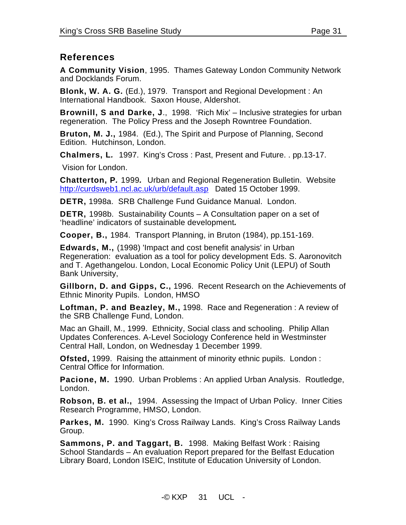## **References**

**A Community Vision**, 1995. Thames Gateway London Community Network and Docklands Forum.

**Blonk, W. A. G.** (Ed.), 1979. Transport and Regional Development : An International Handbook. Saxon House, Aldershot.

**Brownill, S and Darke, J**., 1998. 'Rich Mix' – Inclusive strategies for urban regeneration. The Policy Press and the Joseph Rowntree Foundation.

**Bruton, M. J.,** 1984. (Ed.), The Spirit and Purpose of Planning, Second Edition. Hutchinson, London.

**Chalmers, L***.* 1997. King's Cross : Past, Present and Future. . pp.13-17.

Vision for London.

**Chatterton, P***.* 1999*.* Urban and Regional Regeneration Bulletin. Website http://curdsweb1.ncl.ac.uk/urb/default.asp Dated 15 October 1999.

**DETR,** 1998a. SRB Challenge Fund Guidance Manual. London.

**DETR,** 1998b. Sustainability Counts – A Consultation paper on a set of 'headline' indicators of sustainable development*.*

**Cooper, B.,** 1984. Transport Planning, in Bruton (1984), pp.151-169.

**Edwards, M.,** (1998) 'Impact and cost benefit analysis' in Urban Regeneration: evaluation as a tool for policy development Eds. S. Aaronovitch and T. Agethangelou. London, Local Economic Policy Unit (LEPU) of South Bank University,

**Gillborn, D. and Gipps, C.,** 1996. Recent Research on the Achievements of Ethnic Minority Pupils. London, HMSO

**Loftman, P. and Beazley, M.,** 1998. Race and Regeneration : A review of the SRB Challenge Fund, London.

Mac an Ghaill, M., 1999. Ethnicity, Social class and schooling. Philip Allan Updates Conferences. A-Level Sociology Conference held in Westminster Central Hall, London, on Wednesday 1 December 1999.

**Ofsted,** 1999. Raising the attainment of minority ethnic pupils. London : Central Office for Information.

**Pacione, M.** 1990. Urban Problems : An applied Urban Analysis. Routledge, London.

**Robson, B. et al.,** 1994. Assessing the Impact of Urban Policy. Inner Cities Research Programme, HMSO, London.

**Parkes, M.** 1990. King's Cross Railway Lands. King's Cross Railway Lands Group.

**Sammons, P. and Taggart, B.** 1998. Making Belfast Work : Raising School Standards – An evaluation Report prepared for the Belfast Education Library Board, London ISEIC, Institute of Education University of London.